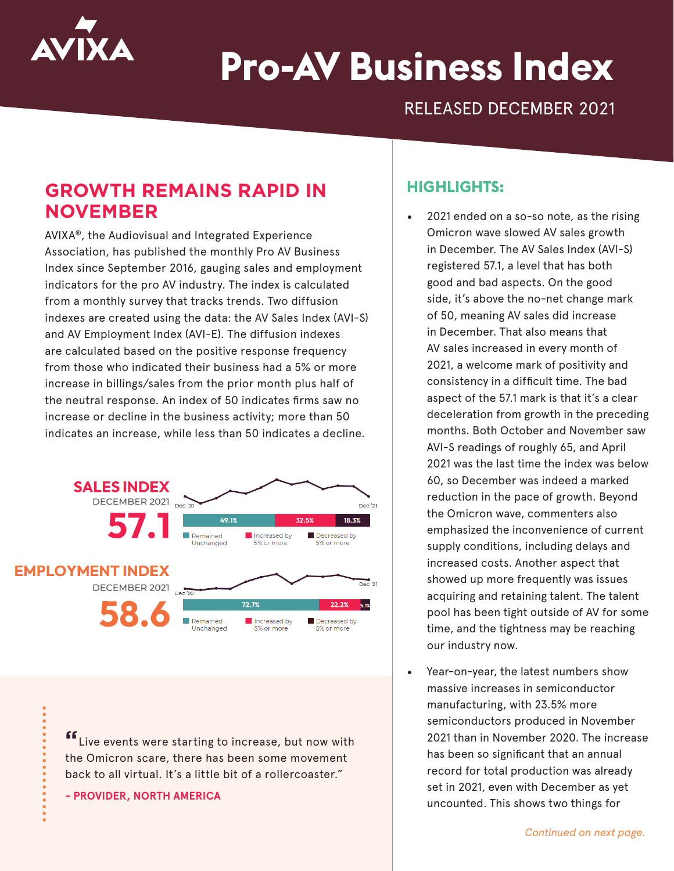

# **Pro-AV Business Index**

RELEASED DECEMBER 2021

# **GROWTH REMAINS RAPID IN NOVEMBER**

AVIXA®, the Audiovisual and Integrated Experience Association, has published the monthly Pro AV Business Index since September 2016, gauging sales and employment indicators for the pro AV industry. The index is calculated from a monthly survey that tracks trends. Two diffusion indexes are created using the data: the AV Sales Index (AVI-S) and AV Employment Index (AVI-E). The diffusion indexes are calculated based on the positive response frequency from those who indicated their business had a 5% or more increase in billings/sales from the prior month plus half of the neutral response. An index of 50 indicates firms saw no increase or decline in the business activity; more than 50 indicates an increase, while less than 50 indicates a decline.



**"**Live events were starting to increase, but now with the Omicron scare, there has been some movement back to all virtual. It's a little bit of a rollercoaster."

**- PROVIDER, NORTH AMERICA**

## **HIGHLIGHTS:**

- 2021 ended on a so-so note, as the rising Omicron wave slowed AV sales growth in December. The AV Sales Index (AVI-S) registered 57.1, a level that has both good and bad aspects. On the good side, it's above the no-net change mark of 50, meaning AV sales did increase in December. That also means that AV sales increased in every month of 2021, a welcome mark of positivity and consistency in a difficult time. The bad aspect of the 57.1 mark is that it's a clear deceleration from growth in the preceding months. Both October and November saw AVI-S readings of roughly 65, and April 2021 was the last time the index was below 60, so December was indeed a marked reduction in the pace of growth. Beyond the Omicron wave, commenters also emphasized the inconvenience of current supply conditions, including delays and increased costs. Another aspect that showed up more frequently was issues acquiring and retaining talent. The talent pool has been tight outside of AV for some time, and the tightness may be reaching our industry now.
- Year-on-year, the latest numbers show massive increases in semiconductor manufacturing, with 23.5% more semiconductors produced in November 2021 than in November 2020. The increase has been so significant that an annual record for total production was already set in 2021, even with December as yet uncounted. This shows two things for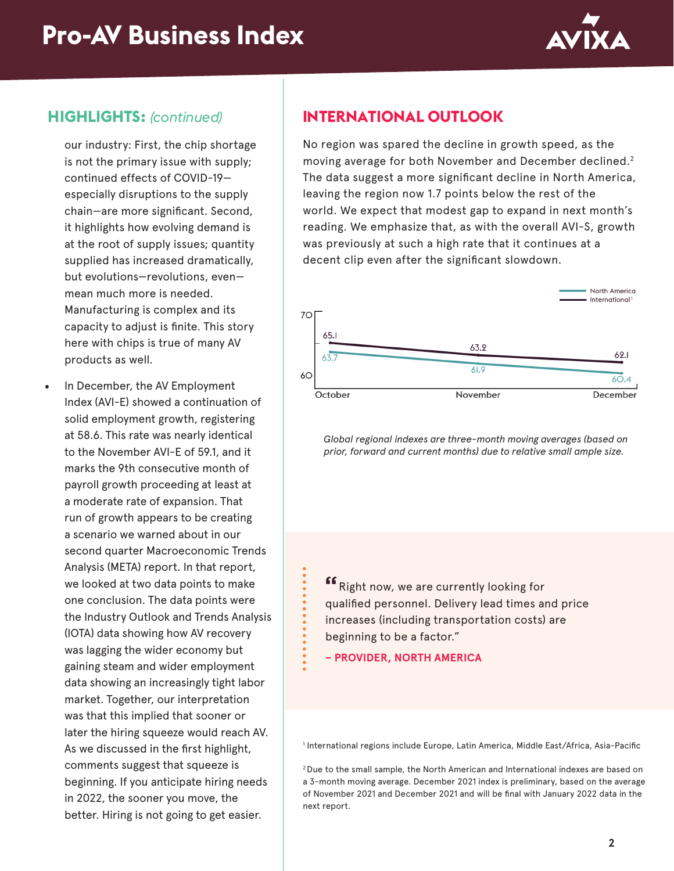

# **HIGHLIGHTS:** *(continued)*

our industry: First, the chip shortage is not the primary issue with supply; continued effects of COVID-19 especially disruptions to the supply chain—are more significant. Second, it highlights how evolving demand is at the root of supply issues; quantity supplied has increased dramatically, but evolutions—revolutions, even mean much more is needed. Manufacturing is complex and its capacity to adjust is finite. This story here with chips is true of many AV products as well.

In December, the AV Employment Index (AVI-E) showed a continuation of solid employment growth, registering at 58.6. This rate was nearly identical to the November AVI-E of 59.1, and it marks the 9th consecutive month of payroll growth proceeding at least at a moderate rate of expansion. That run of growth appears to be creating a scenario we warned about in our second quarter Macroeconomic Trends Analysis (META) report. In that report, we looked at two data points to make one conclusion. The data points were the Industry Outlook and Trends Analysis (IOTA) data showing how AV recovery was lagging the wider economy but gaining steam and wider employment data showing an increasingly tight labor market. Together, our interpretation was that this implied that sooner or later the hiring squeeze would reach AV. As we discussed in the first highlight, comments suggest that squeeze is beginning. If you anticipate hiring needs in 2022, the sooner you move, the better. Hiring is not going to get easier.

# **INTERNATIONAL OUTLOOK**

No region was spared the decline in growth speed, as the moving average for both November and December declined.<sup>2</sup> The data suggest a more significant decline in North America, leaving the region now 1.7 points below the rest of the world. We expect that modest gap to expand in next month's reading. We emphasize that, as with the overall AVI-S, growth was previously at such a high rate that it continues at a decent clip even after the significant slowdown.



*Global regional indexes are three-month moving averages (based on prior, forward and current months) due to relative small ample size.*

**"**Right now, we are currently looking for qualified personnel. Delivery lead times and price increases (including transportation costs) are beginning to be a factor."

**– PROVIDER, NORTH AMERICA**

1 International regions include Europe, Latin America, Middle East/Africa, Asia-Pacific

2 Due to the small sample, the North American and International indexes are based on a 3-month moving average. December 2021 index is preliminary, based on the average of November 2021 and December 2021 and will be final with January 2022 data in the next report.